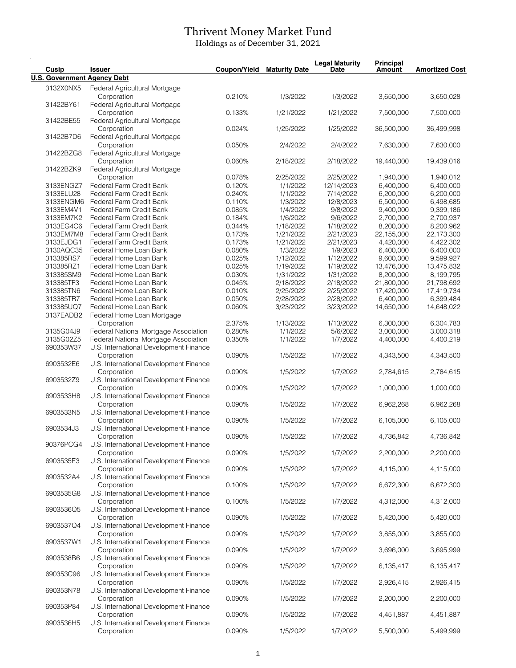## Thrivent Money Market Fund

Holdings as of December 31, 2021

| Cusip                              | <b>Issuer</b>                                         | Coupon/Yield     | <b>Maturity Date</b>   | <b>Legal Maturity</b><br>Date | Principal<br><b>Amount</b> | <b>Amortized Cost</b>   |
|------------------------------------|-------------------------------------------------------|------------------|------------------------|-------------------------------|----------------------------|-------------------------|
| <b>U.S. Government Agency Debt</b> |                                                       |                  |                        |                               |                            |                         |
| 3132X0NX5                          | Federal Agricultural Mortgage                         |                  |                        |                               |                            |                         |
|                                    | Corporation                                           | 0.210%           | 1/3/2022               | 1/3/2022                      | 3,650,000                  | 3,650,028               |
| 31422BY61                          | Federal Agricultural Mortgage                         |                  |                        |                               |                            |                         |
|                                    | Corporation                                           | 0.133%           | 1/21/2022              | 1/21/2022                     | 7,500,000                  | 7,500,000               |
| 31422BE55                          | Federal Agricultural Mortgage                         |                  |                        |                               |                            |                         |
|                                    | Corporation                                           | 0.024%           | 1/25/2022              | 1/25/2022                     | 36,500,000                 | 36,499,998              |
| 31422B7D6                          | Federal Agricultural Mortgage<br>Corporation          | 0.050%           | 2/4/2022               | 2/4/2022                      | 7,630,000                  | 7,630,000               |
| 31422BZG8                          | Federal Agricultural Mortgage                         |                  |                        |                               |                            |                         |
|                                    | Corporation                                           | 0.060%           | 2/18/2022              | 2/18/2022                     | 19,440,000                 | 19,439,016              |
| 31422BZK9                          | Federal Agricultural Mortgage                         |                  |                        |                               |                            |                         |
|                                    | Corporation                                           | 0.078%           | 2/25/2022              | 2/25/2022                     | 1,940,000                  | 1,940,012               |
| 3133ENGZ7                          | Federal Farm Credit Bank                              | 0.120%           | 1/1/2022               | 12/14/2023                    | 6,400,000                  | 6,400,000               |
| 3133ELU28                          | Federal Farm Credit Bank                              | 0.240%           | 1/1/2022               | 7/14/2022                     | 6,200,000                  | 6,200,000               |
| 3133ENGM6<br>3133EM4V1             | Federal Farm Credit Bank<br>Federal Farm Credit Bank  | 0.110%<br>0.085% | 1/3/2022<br>1/4/2022   | 12/8/2023<br>9/8/2022         | 6,500,000<br>9,400,000     | 6,498,685<br>9,399,186  |
| 3133EM7K2                          | Federal Farm Credit Bank                              | 0.184%           | 1/6/2022               | 9/6/2022                      | 2,700,000                  | 2,700,937               |
| 3133EG4C6                          | Federal Farm Credit Bank                              | 0.344%           | 1/18/2022              | 1/18/2022                     | 8,200,000                  | 8,200,962               |
| 3133EM7M8                          | Federal Farm Credit Bank                              | 0.173%           | 1/21/2022              | 2/21/2023                     | 22,155,000                 | 22,173,300              |
| 3133EJDG1                          | Federal Farm Credit Bank                              | 0.173%           | 1/21/2022              | 2/21/2023                     | 4,420,000                  | 4,422,302               |
| 3130AQC35                          | Federal Home Loan Bank                                | 0.080%           | 1/3/2022               | 1/9/2023                      | 6,400,000                  | 6,400,000               |
| 313385RS7                          | Federal Home Loan Bank                                | 0.025%           | 1/12/2022              | 1/12/2022                     | 9,600,000                  | 9,599,927               |
| 313385RZ1                          | Federal Home Loan Bank                                | 0.025%           | 1/19/2022              | 1/19/2022                     | 13,476,000                 | 13,475,832              |
| 313385SM9                          | Federal Home Loan Bank                                | 0.030%           | 1/31/2022              | 1/31/2022                     | 8,200,000                  | 8,199,795               |
| 313385TF3<br>313385TN6             | Federal Home Loan Bank<br>Federal Home Loan Bank      | 0.045%           | 2/18/2022              | 2/18/2022                     | 21,800,000                 | 21,798,692              |
| 313385TR7                          | Federal Home Loan Bank                                | 0.010%<br>0.050% | 2/25/2022<br>2/28/2022 | 2/25/2022<br>2/28/2022        | 17,420,000<br>6,400,000    | 17,419,734<br>6,399,484 |
| 313385UQ7                          | Federal Home Loan Bank                                | 0.060%           | 3/23/2022              | 3/23/2022                     | 14,650,000                 | 14,648,022              |
| 3137EADB2                          | Federal Home Loan Mortgage                            |                  |                        |                               |                            |                         |
|                                    | Corporation                                           | 2.375%           | 1/13/2022              | 1/13/2022                     | 6,300,000                  | 6,304,783               |
| 3135G04J9                          | Federal National Mortgage Association                 | 0.280%           | 1/1/2022               | 5/6/2022                      | 3,000,000                  | 3,000,318               |
| 3135G02Z5                          | Federal National Mortgage Association                 | 0.350%           | 1/1/2022               | 1/7/2022                      | 4,400,000                  | 4,400,219               |
| 690353W37                          | U.S. International Development Finance                |                  |                        |                               |                            |                         |
|                                    | Corporation                                           | 0.090%           | 1/5/2022               | 1/7/2022                      | 4,343,500                  | 4,343,500               |
| 6903532E6                          | U.S. International Development Finance<br>Corporation | 0.090%           | 1/5/2022               | 1/7/2022                      | 2,784,615                  | 2,784,615               |
| 6903532Z9                          | U.S. International Development Finance                |                  |                        |                               |                            |                         |
|                                    | Corporation                                           | 0.090%           | 1/5/2022               | 1/7/2022                      | 1,000,000                  | 1,000,000               |
| 6903533H8                          | U.S. International Development Finance                |                  |                        |                               |                            |                         |
|                                    | Corporation                                           | 0.090%           | 1/5/2022               | 1/7/2022                      | 6,962,268                  | 6,962,268               |
| 6903533N5                          | U.S. International Development Finance                |                  |                        |                               |                            |                         |
|                                    | Corporation                                           | 0.090%           | 1/5/2022               | 1/7/2022                      | 6,105,000                  | 6,105,000               |
| 6903534J3                          | U.S. International Development Finance<br>Corporation | 0.090%           | 1/5/2022               | 1/7/2022                      |                            |                         |
| 90376PCG4                          | U.S. International Development Finance                |                  |                        |                               | 4,736,842                  | 4,736,842               |
|                                    | Corporation                                           | 0.090%           | 1/5/2022               | 1/7/2022                      | 2,200,000                  | 2,200,000               |
| 6903535E3                          | U.S. International Development Finance                |                  |                        |                               |                            |                         |
|                                    | Corporation                                           | 0.090%           | 1/5/2022               | 1/7/2022                      | 4,115,000                  | 4,115,000               |
| 6903532A4                          | U.S. International Development Finance                |                  |                        |                               |                            |                         |
|                                    | Corporation                                           | 0.100%           | 1/5/2022               | 1/7/2022                      | 6,672,300                  | 6,672,300               |
| 6903535G8                          | U.S. International Development Finance                |                  |                        |                               |                            |                         |
| 6903536Q5                          | Corporation<br>U.S. International Development Finance | 0.100%           | 1/5/2022               | 1/7/2022                      | 4,312,000                  | 4,312,000               |
|                                    | Corporation                                           | 0.090%           | 1/5/2022               | 1/7/2022                      | 5,420,000                  | 5,420,000               |
| 6903537Q4                          | U.S. International Development Finance                |                  |                        |                               |                            |                         |
|                                    | Corporation                                           | 0.090%           | 1/5/2022               | 1/7/2022                      | 3,855,000                  | 3,855,000               |
| 6903537W1                          | U.S. International Development Finance                |                  |                        |                               |                            |                         |
|                                    | Corporation                                           | 0.090%           | 1/5/2022               | 1/7/2022                      | 3,696,000                  | 3,695,999               |
| 6903538B6                          | U.S. International Development Finance                |                  |                        |                               |                            |                         |
|                                    | Corporation                                           | 0.090%           | 1/5/2022               | 1/7/2022                      | 6,135,417                  | 6,135,417               |
| 690353C96                          | U.S. International Development Finance<br>Corporation | 0.090%           | 1/5/2022               | 1/7/2022                      | 2,926,415                  | 2,926,415               |
| 690353N78                          | U.S. International Development Finance                |                  |                        |                               |                            |                         |
|                                    | Corporation                                           | 0.090%           | 1/5/2022               | 1/7/2022                      | 2,200,000                  | 2,200,000               |
| 690353P84                          | U.S. International Development Finance                |                  |                        |                               |                            |                         |
|                                    | Corporation                                           | 0.090%           | 1/5/2022               | 1/7/2022                      | 4,451,887                  | 4,451,887               |
| 6903536H5                          | U.S. International Development Finance                |                  |                        |                               |                            |                         |
|                                    | Corporation                                           | 0.090%           | 1/5/2022               | 1/7/2022                      | 5,500,000                  | 5,499,999               |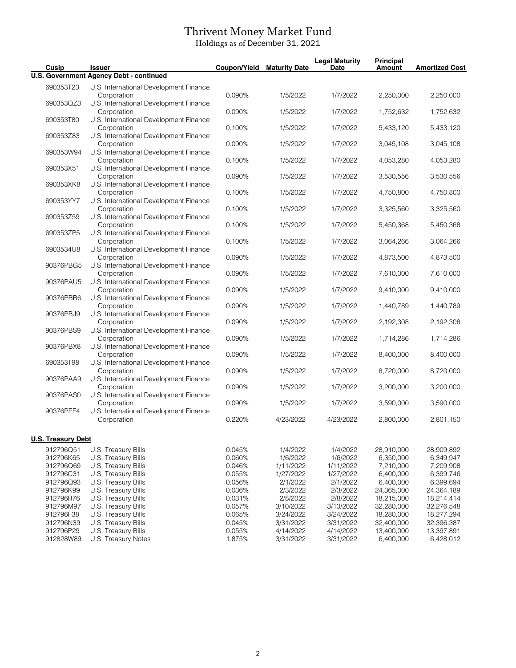## Thrivent Money Market Fund

Holdings as of December 31, 2021

| Cusip                     | <b>Issuer</b>                                         | <b>Coupon/Yield</b> | <b>Maturity Date</b> | <b>Legal Maturity</b><br><b>Date</b> | <b>Principal</b><br><b>Amount</b> | <b>Amortized Cost</b>   |
|---------------------------|-------------------------------------------------------|---------------------|----------------------|--------------------------------------|-----------------------------------|-------------------------|
|                           | U.S. Government Agency Debt - continued               |                     |                      |                                      |                                   |                         |
| 690353T23                 | U.S. International Development Finance<br>Corporation | 0.090%              | 1/5/2022             | 1/7/2022                             | 2,250,000                         | 2,250,000               |
| 690353QZ3                 | U.S. International Development Finance<br>Corporation | 0.090%              | 1/5/2022             | 1/7/2022                             | 1,752,632                         | 1,752,632               |
| 690353T80                 | U.S. International Development Finance<br>Corporation | 0.100%              | 1/5/2022             | 1/7/2022                             | 5,433,120                         | 5,433,120               |
| 690353Z83                 | U.S. International Development Finance<br>Corporation | 0.090%              | 1/5/2022             | 1/7/2022                             | 3,045,108                         | 3,045,108               |
| 690353W94                 | U.S. International Development Finance<br>Corporation | 0.100%              | 1/5/2022             | 1/7/2022                             | 4,053,280                         | 4,053,280               |
| 690353X51                 | U.S. International Development Finance<br>Corporation | 0.090%              | 1/5/2022             | 1/7/2022                             | 3,530,556                         | 3,530,556               |
| 690353XK8                 | U.S. International Development Finance<br>Corporation | 0.100%              | 1/5/2022             | 1/7/2022                             | 4,750,800                         | 4,750,800               |
| 690353YY7                 | U.S. International Development Finance<br>Corporation | 0.100%              | 1/5/2022             | 1/7/2022                             | 3,325,560                         | 3,325,560               |
| 690353Z59                 | U.S. International Development Finance<br>Corporation | 0.100%              | 1/5/2022             | 1/7/2022                             | 5,450,368                         | 5,450,368               |
| 690353ZP5                 | U.S. International Development Finance<br>Corporation | 0.100%              | 1/5/2022             | 1/7/2022                             | 3,064,266                         | 3,064,266               |
| 6903534U8                 | U.S. International Development Finance<br>Corporation | 0.090%              |                      |                                      |                                   |                         |
| 90376PBG5                 | U.S. International Development Finance                |                     | 1/5/2022             | 1/7/2022                             | 4,873,500                         | 4,873,500               |
| 90376PAU5                 | Corporation<br>U.S. International Development Finance | 0.090%              | 1/5/2022             | 1/7/2022                             | 7,610,000                         | 7,610,000               |
| 90376PBB6                 | Corporation<br>U.S. International Development Finance | 0.090%              | 1/5/2022             | 1/7/2022                             | 9,410,000                         | 9,410,000               |
| 90376PBJ9                 | Corporation<br>U.S. International Development Finance | 0.090%              | 1/5/2022             | 1/7/2022                             | 1,440,789                         | 1,440,789               |
| 90376PBS9                 | Corporation<br>U.S. International Development Finance | 0.090%              | 1/5/2022             | 1/7/2022                             | 2,192,308                         | 2,192,308               |
| 90376PBX8                 | Corporation<br>U.S. International Development Finance | 0.090%              | 1/5/2022             | 1/7/2022                             | 1,714,286                         | 1,714,286               |
| 690353T98                 | Corporation<br>U.S. International Development Finance | 0.090%              | 1/5/2022             | 1/7/2022                             | 8,400,000                         | 8,400,000               |
| 90376PAA9                 | Corporation<br>U.S. International Development Finance | 0.090%              | 1/5/2022             | 1/7/2022                             | 8,720,000                         | 8,720,000               |
| 90376PAS0                 | Corporation<br>U.S. International Development Finance | 0.090%              | 1/5/2022             | 1/7/2022                             | 3,200,000                         | 3,200,000               |
| 90376PEF4                 | Corporation<br>U.S. International Development Finance | 0.090%              | 1/5/2022             | 1/7/2022                             | 3,590,000                         | 3,590,000               |
|                           | Corporation                                           | 0.220%              | 4/23/2022            | 4/23/2022                            | 2,800,000                         | 2,801,150               |
| <b>U.S. Treasury Debt</b> |                                                       |                     |                      |                                      |                                   |                         |
| 912796Q51<br>912796K65    | U.S. Treasury Bills<br>U.S. Treasury Bills            | 0.045%<br>0.060%    | 1/4/2022<br>1/6/2022 | 1/4/2022<br>1/6/2022                 | 28,910,000<br>6,350,000           | 28,909,892<br>6,349,947 |
| 912796Q69                 | U.S. Treasury Bills                                   | 0.046%              | 1/11/2022            | 1/11/2022                            | 7,210,000                         | 7,209,908               |
| 912796C31                 | U.S. Treasury Bills                                   | 0.055%              | 1/27/2022            | 1/27/2022                            | 6,400,000                         | 6,399,746               |
| 912796Q93                 | U.S. Treasury Bills                                   | 0.056%              | 2/1/2022             | 2/1/2022                             | 6,400,000                         | 6,399,694               |
| 912796K99                 | U.S. Treasury Bills                                   | 0.036%              | 2/3/2022             | 2/3/2022                             | 24,365,000                        | 24,364,189              |
| 912796R76                 | U.S. Treasury Bills                                   | 0.031%              |                      | 2/8/2022                             | 18,215,000                        |                         |
|                           |                                                       |                     | 2/8/2022             |                                      |                                   | 18,214,414              |
| 912796M97                 | U.S. Treasury Bills                                   | 0.057%              | 3/10/2022            | 3/10/2022                            | 32,280,000                        | 32,276,548              |
| 912796F38                 | U.S. Treasury Bills                                   | 0.065%              | 3/24/2022            | 3/24/2022                            | 18,280,000                        | 18,277,294              |
| 912796N39                 | U.S. Treasury Bills                                   | 0.045%              | 3/31/2022            | 3/31/2022                            | 32,400,000                        | 32,396,387              |
| 912796P29<br>912828W89    | U.S. Treasury Bills                                   | 0.055%              | 4/14/2022            | 4/14/2022                            | 13,400,000<br>6,400,000           | 13,397,891              |
|                           | U.S. Treasury Notes                                   | 1.875%              | 3/31/2022            | 3/31/2022                            |                                   | 6,428,012               |